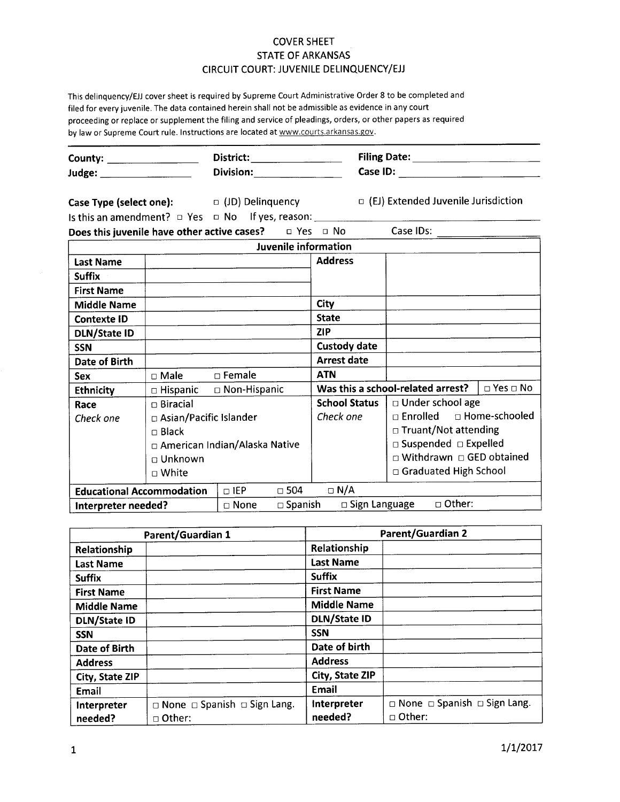## COVER SHEET STATE OF ARKANSAS CIRCUIT COURT: JUVENILE DELINQUENCY/EJJ

This delinquency/EJJ cover sheet is required by Supreme Court Administrative Order 8 to be completed and filed for every juvenile. The data contained herein shall not be admissible as evidence in any court proceeding or replace or supplement the filing and service of pleadings, orders, or other papers as required by law or Supreme Court rule. Instructions are located at www.courts.arkansas.gov.

| County: $\qquad \qquad$<br>Judge: _____________________ |                                 | $District: \begin{tabular}{ c c c } \hline \quad \quad & \quad \quad & \quad \quad & \quad \quad \\ \hline \end{tabular}$ |                                            | Filing Date: _________________________                 |                    |  |
|---------------------------------------------------------|---------------------------------|---------------------------------------------------------------------------------------------------------------------------|--------------------------------------------|--------------------------------------------------------|--------------------|--|
|                                                         |                                 | Division: _______________                                                                                                 |                                            |                                                        |                    |  |
| Case Type (select one): $\Box$ (JD) Delinquency         |                                 |                                                                                                                           |                                            | □ (EJ) Extended Juvenile Jurisdiction                  |                    |  |
|                                                         |                                 |                                                                                                                           |                                            |                                                        |                    |  |
|                                                         |                                 | <b>Does this juvenile have other active cases?</b> $\Box$ Yes $\Box$ No                                                   |                                            | Case IDs:                                              |                    |  |
|                                                         |                                 | Juvenile information                                                                                                      |                                            |                                                        |                    |  |
| <b>Last Name</b>                                        |                                 |                                                                                                                           | <b>Address</b>                             |                                                        |                    |  |
| <b>Suffix</b>                                           |                                 |                                                                                                                           |                                            |                                                        |                    |  |
| <b>First Name</b>                                       |                                 |                                                                                                                           |                                            |                                                        |                    |  |
| <b>Middle Name</b>                                      |                                 |                                                                                                                           | City                                       |                                                        |                    |  |
| <b>Contexte ID</b>                                      |                                 |                                                                                                                           | <b>State</b>                               |                                                        |                    |  |
| <b>DLN/State ID</b>                                     |                                 |                                                                                                                           | <b>ZIP</b>                                 |                                                        |                    |  |
| <b>SSN</b>                                              |                                 |                                                                                                                           | <b>Custody date</b>                        |                                                        |                    |  |
| <b>Date of Birth</b>                                    |                                 |                                                                                                                           | <b>Arrest date</b>                         |                                                        |                    |  |
| <b>Sex</b>                                              | □ Male □ Female                 |                                                                                                                           | <b>ATN</b>                                 |                                                        |                    |  |
| <b>Ethnicity</b>                                        |                                 | □ Hispanic □ Non-Hispanic                                                                                                 |                                            | Was this a school-related arrest? $\Box$ Yes $\Box$ No |                    |  |
| Race                                                    | $\Box$ Biracial                 |                                                                                                                           | <b>School Status</b>                       |                                                        | □ Under school age |  |
| Check one                                               | □ Asian/Pacific Islander        |                                                                                                                           | Check one                                  | □ Enrolled □ Home-schooled                             |                    |  |
|                                                         | $\Box$ Black                    |                                                                                                                           |                                            | □ Truant/Not attending                                 |                    |  |
|                                                         | □ American Indian/Alaska Native |                                                                                                                           |                                            | $\Box$ Suspended $\Box$ Expelled                       |                    |  |
|                                                         | □ Unknown                       |                                                                                                                           |                                            | $\Box$ Withdrawn $\Box$ GED obtained                   |                    |  |
|                                                         | $\Box$ White                    |                                                                                                                           |                                            | $\Box$ Graduated High School                           |                    |  |
| <b>Educational Accommodation</b>                        |                                 | $\Box$ IEP<br>$\square$ 504                                                                                               | $\Box$ N/A                                 |                                                        |                    |  |
| Interpreter needed?                                     |                                 | $\Box$ None                                                                                                               | □ Sign Language □ Other:<br>$\Box$ Spanish |                                                        |                    |  |

| Parent/Guardian 1    |                                              | <b>Parent/Guardian 2</b> |                                              |  |  |
|----------------------|----------------------------------------------|--------------------------|----------------------------------------------|--|--|
| Relationship         |                                              | Relationship             |                                              |  |  |
| <b>Last Name</b>     |                                              | <b>Last Name</b>         |                                              |  |  |
| <b>Suffix</b>        |                                              | <b>Suffix</b>            |                                              |  |  |
| <b>First Name</b>    |                                              | <b>First Name</b>        |                                              |  |  |
| <b>Middle Name</b>   |                                              | <b>Middle Name</b>       |                                              |  |  |
| <b>DLN/State ID</b>  |                                              | <b>DLN/State ID</b>      |                                              |  |  |
| <b>SSN</b>           |                                              | <b>SSN</b>               |                                              |  |  |
| <b>Date of Birth</b> |                                              | Date of birth            |                                              |  |  |
| <b>Address</b>       |                                              | <b>Address</b>           |                                              |  |  |
| City, State ZIP      |                                              | City, State ZIP          |                                              |  |  |
| Email                |                                              | Email                    |                                              |  |  |
| Interpreter          | $\Box$ None $\Box$ Spanish $\Box$ Sign Lang. | Interpreter              | $\Box$ None $\Box$ Spanish $\Box$ Sign Lang. |  |  |
| needed?              | $\Box$ Other:                                | needed?                  | $\Box$ Other:                                |  |  |